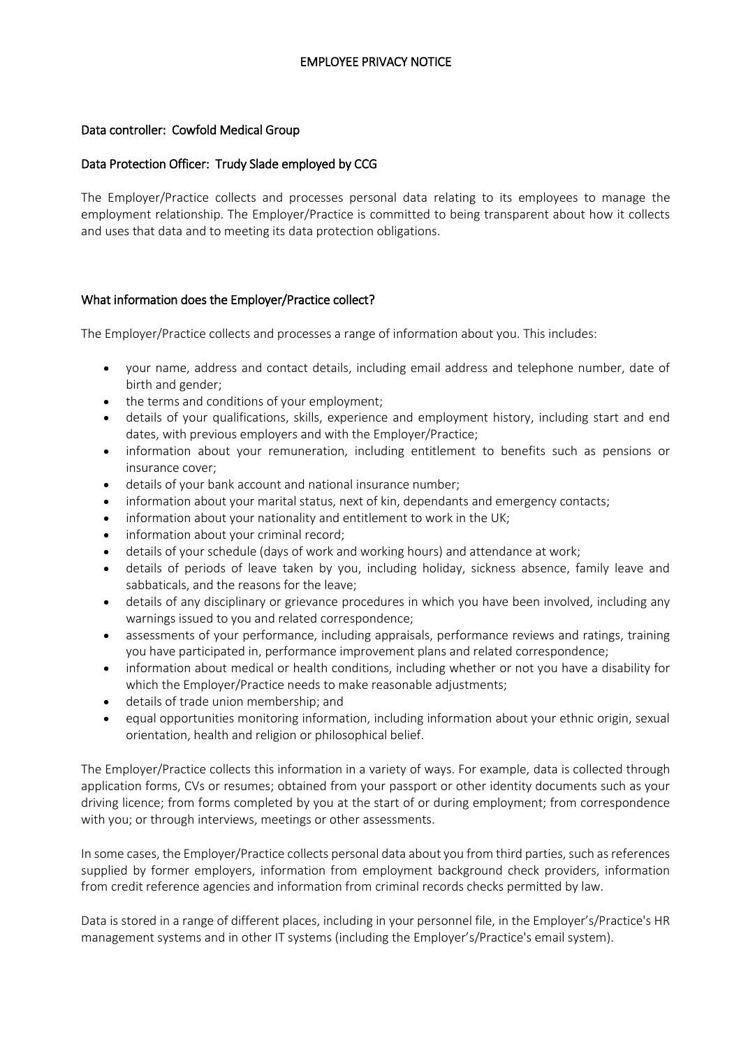# EMPLOYEE PRIVACY NOTICE

#### Data controller: Cowfold Medical Group

## Data Protection Officer: Trudy Slade employed by CCG

The Employer/Practice collects and processes personal data relating to its employees to manage the employment relationship. The Employer/Practice is committed to being transparent about how it collects and uses that data and to meeting its data protection obligations.

## What information does the Employer/Practice collect?

The Employer/Practice collects and processes a range of information about you. This includes:

- your name, address and contact details, including email address and telephone number, date of birth and gender;
- the terms and conditions of your employment;
- details of your qualifications, skills, experience and employment history, including start and end dates, with previous employers and with the Employer/Practice;
- information about your remuneration, including entitlement to benefits such as pensions or insurance cover;
- details of your bank account and national insurance number;
- information about your marital status, next of kin, dependants and emergency contacts;
- information about your nationality and entitlement to work in the UK;
- information about your criminal record;
- details of your schedule (days of work and working hours) and attendance at work;
- details of periods of leave taken by you, including holiday, sickness absence, family leave and sabbaticals, and the reasons for the leave;
- details of any disciplinary or grievance procedures in which you have been involved, including any warnings issued to you and related correspondence;
- assessments of your performance, including appraisals, performance reviews and ratings, training you have participated in, performance improvement plans and related correspondence;
- information about medical or health conditions, including whether or not you have a disability for which the Employer/Practice needs to make reasonable adjustments;
- details of trade union membership; and
- equal opportunities monitoring information, including information about your ethnic origin, sexual orientation, health and religion or philosophical belief.

The Employer/Practice collects this information in a variety of ways. For example, data is collected through application forms, CVs or resumes; obtained from your passport or other identity documents such as your driving licence; from forms completed by you at the start of or during employment; from correspondence with you; or through interviews, meetings or other assessments.

In some cases, the Employer/Practice collects personal data about you from third parties, such as references supplied by former employers, information from employment background check providers, information from credit reference agencies and information from criminal records checks permitted by law.

Data is stored in a range of different places, including in your personnel file, in the Employer's/Practice's HR management systems and in other IT systems (including the Employer's/Practice's email system).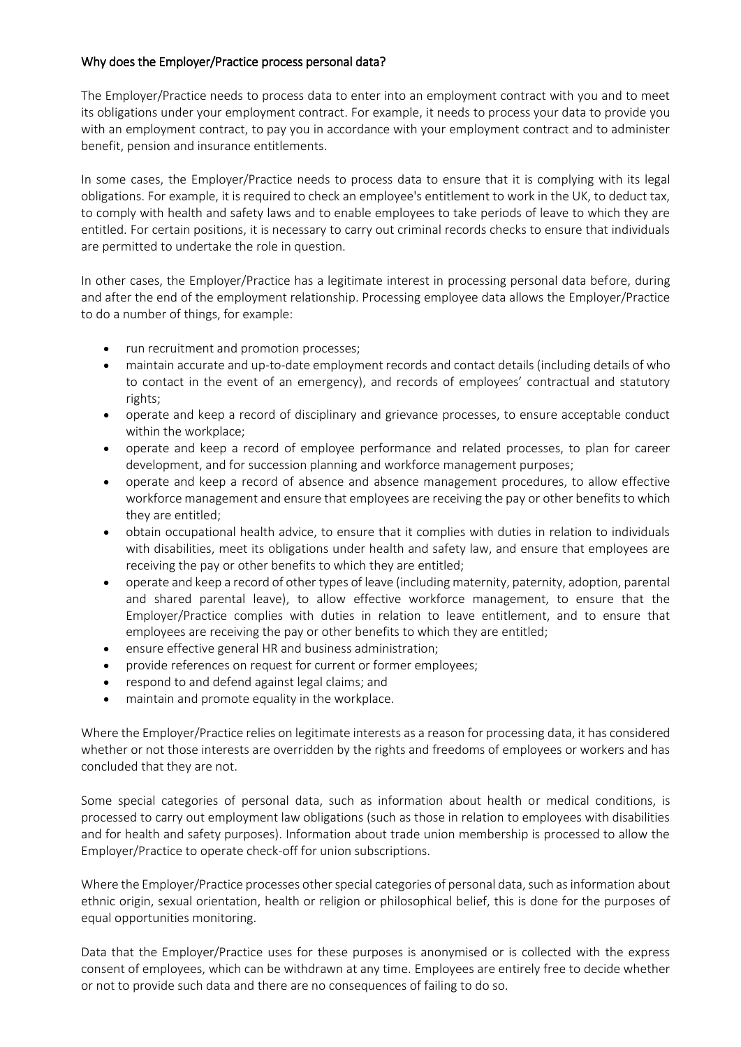# Why does the Employer/Practice process personal data?

The Employer/Practice needs to process data to enter into an employment contract with you and to meet its obligations under your employment contract. For example, it needs to process your data to provide you with an employment contract, to pay you in accordance with your employment contract and to administer benefit, pension and insurance entitlements.

In some cases, the Employer/Practice needs to process data to ensure that it is complying with its legal obligations. For example, it is required to check an employee's entitlement to work in the UK, to deduct tax, to comply with health and safety laws and to enable employees to take periods of leave to which they are entitled. For certain positions, it is necessary to carry out criminal records checks to ensure that individuals are permitted to undertake the role in question.

In other cases, the Employer/Practice has a legitimate interest in processing personal data before, during and after the end of the employment relationship. Processing employee data allows the Employer/Practice to do a number of things, for example:

- run recruitment and promotion processes;
- maintain accurate and up-to-date employment records and contact details (including details of who to contact in the event of an emergency), and records of employees' contractual and statutory rights;
- operate and keep a record of disciplinary and grievance processes, to ensure acceptable conduct within the workplace;
- operate and keep a record of employee performance and related processes, to plan for career development, and for succession planning and workforce management purposes;
- operate and keep a record of absence and absence management procedures, to allow effective workforce management and ensure that employees are receiving the pay or other benefits to which they are entitled;
- obtain occupational health advice, to ensure that it complies with duties in relation to individuals with disabilities, meet its obligations under health and safety law, and ensure that employees are receiving the pay or other benefits to which they are entitled;
- operate and keep a record of other types of leave (including maternity, paternity, adoption, parental and shared parental leave), to allow effective workforce management, to ensure that the Employer/Practice complies with duties in relation to leave entitlement, and to ensure that employees are receiving the pay or other benefits to which they are entitled;
- ensure effective general HR and business administration;
- provide references on request for current or former employees;
- respond to and defend against legal claims; and
- maintain and promote equality in the workplace.

Where the Employer/Practice relies on legitimate interests as a reason for processing data, it has considered whether or not those interests are overridden by the rights and freedoms of employees or workers and has concluded that they are not.

Some special categories of personal data, such as information about health or medical conditions, is processed to carry out employment law obligations (such as those in relation to employees with disabilities and for health and safety purposes). Information about trade union membership is processed to allow the Employer/Practice to operate check-off for union subscriptions.

Where the Employer/Practice processes other special categories of personal data, such as information about ethnic origin, sexual orientation, health or religion or philosophical belief, this is done for the purposes of equal opportunities monitoring.

Data that the Employer/Practice uses for these purposes is anonymised or is collected with the express consent of employees, which can be withdrawn at any time. Employees are entirely free to decide whether or not to provide such data and there are no consequences of failing to do so.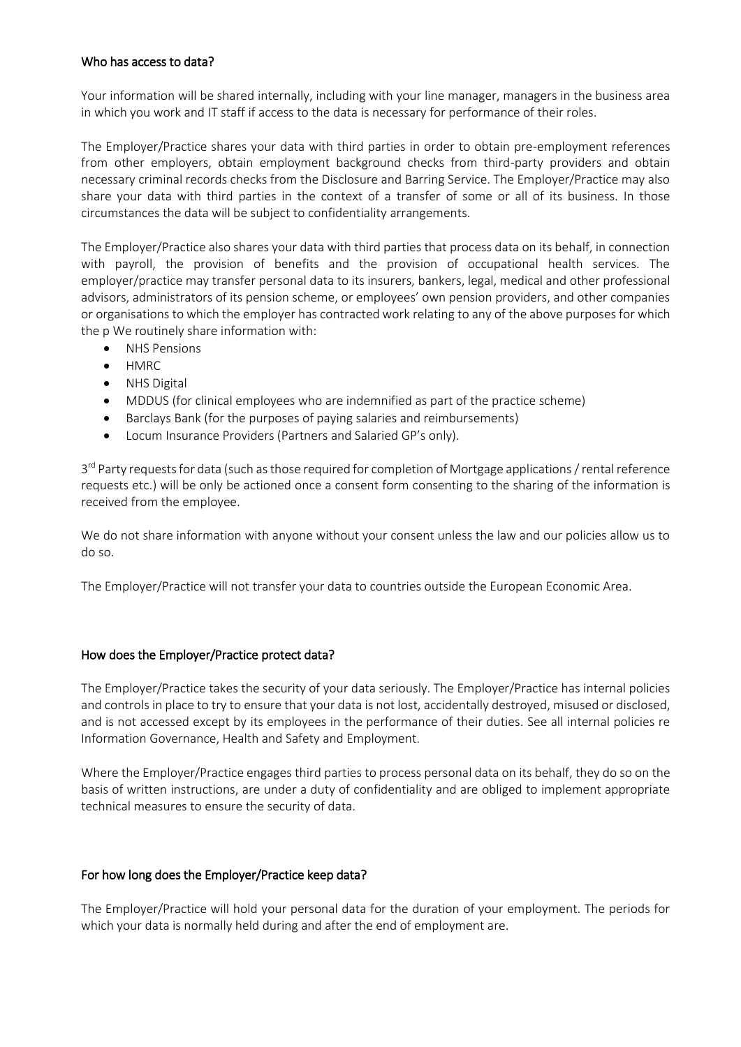## Who has access to data?

Your information will be shared internally, including with your line manager, managers in the business area in which you work and IT staff if access to the data is necessary for performance of their roles.

The Employer/Practice shares your data with third parties in order to obtain pre-employment references from other employers, obtain employment background checks from third-party providers and obtain necessary criminal records checks from the Disclosure and Barring Service. The Employer/Practice may also share your data with third parties in the context of a transfer of some or all of its business. In those circumstances the data will be subject to confidentiality arrangements.

The Employer/Practice also shares your data with third parties that process data on its behalf, in connection with payroll, the provision of benefits and the provision of occupational health services. The employer/practice may transfer personal data to its insurers, bankers, legal, medical and other professional advisors, administrators of its pension scheme, or employees' own pension providers, and other companies or organisations to which the employer has contracted work relating to any of the above purposes for which the p We routinely share information with:

- NHS Pensions
- HMRC
- NHS Digital
- MDDUS (for clinical employees who are indemnified as part of the practice scheme)
- Barclays Bank (for the purposes of paying salaries and reimbursements)
- Locum Insurance Providers (Partners and Salaried GP's only).

3<sup>rd</sup> Party requests for data (such as those required for completion of Mortgage applications / rental reference requests etc.) will be only be actioned once a consent form consenting to the sharing of the information is received from the employee.

We do not share information with anyone without your consent unless the law and our policies allow us to do so.

The Employer/Practice will not transfer your data to countries outside the European Economic Area.

# How does the Employer/Practice protect data?

The Employer/Practice takes the security of your data seriously. The Employer/Practice has internal policies and controls in place to try to ensure that your data is not lost, accidentally destroyed, misused or disclosed, and is not accessed except by its employees in the performance of their duties. See all internal policies re Information Governance, Health and Safety and Employment.

Where the Employer/Practice engages third parties to process personal data on its behalf, they do so on the basis of written instructions, are under a duty of confidentiality and are obliged to implement appropriate technical measures to ensure the security of data.

#### For how long does the Employer/Practice keep data?

The Employer/Practice will hold your personal data for the duration of your employment. The periods for which your data is normally held during and after the end of employment are.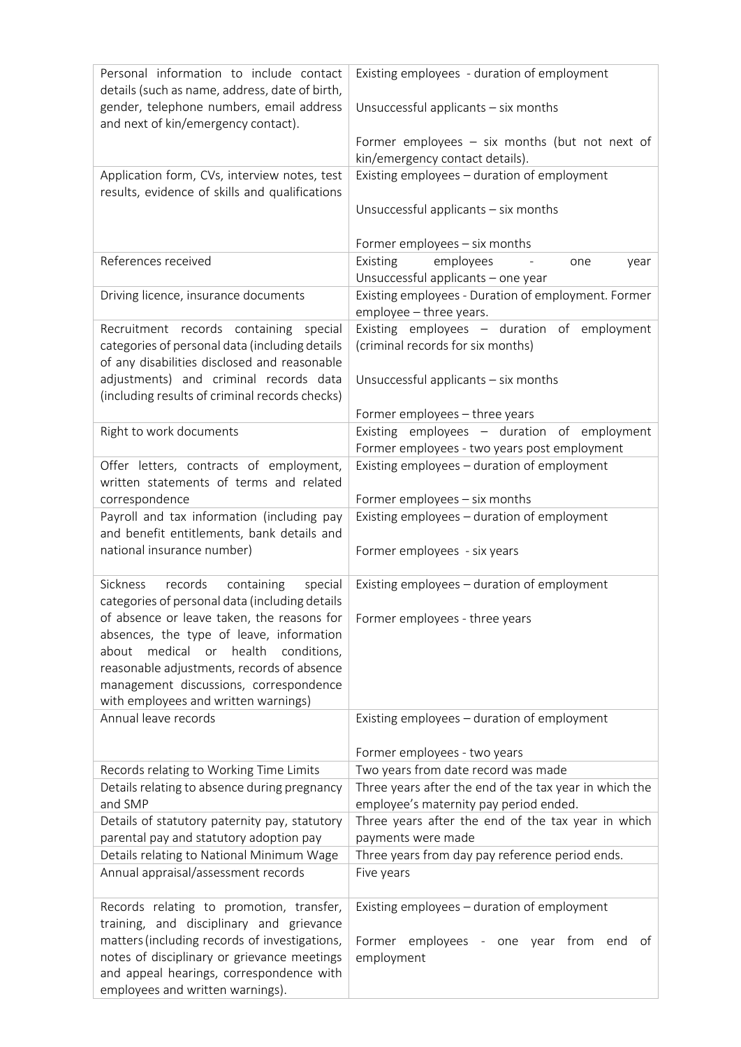| Personal information to include contact<br>details (such as name, address, date of birth,<br>gender, telephone numbers, email address<br>and next of kin/emergency contact). | Existing employees - duration of employment<br>Unsuccessful applicants - six months              |
|------------------------------------------------------------------------------------------------------------------------------------------------------------------------------|--------------------------------------------------------------------------------------------------|
|                                                                                                                                                                              | Former employees $-$ six months (but not next of<br>kin/emergency contact details).              |
| Application form, CVs, interview notes, test                                                                                                                                 | Existing employees - duration of employment                                                      |
| results, evidence of skills and qualifications                                                                                                                               | Unsuccessful applicants - six months                                                             |
|                                                                                                                                                                              | Former employees - six months                                                                    |
| References received                                                                                                                                                          | employees<br>Existing<br>one<br>year<br>Unsuccessful applicants - one year                       |
| Driving licence, insurance documents                                                                                                                                         | Existing employees - Duration of employment. Former<br>employee - three years.                   |
| Recruitment records containing special<br>categories of personal data (including details                                                                                     | Existing employees - duration of employment<br>(criminal records for six months)                 |
| of any disabilities disclosed and reasonable                                                                                                                                 |                                                                                                  |
| adjustments) and criminal records data<br>(including results of criminal records checks)                                                                                     | Unsuccessful applicants - six months                                                             |
|                                                                                                                                                                              | Former employees - three years                                                                   |
| Right to work documents                                                                                                                                                      | Existing employees - duration of employment<br>Former employees - two years post employment      |
| Offer letters, contracts of employment,                                                                                                                                      | Existing employees - duration of employment                                                      |
| written statements of terms and related                                                                                                                                      |                                                                                                  |
| correspondence                                                                                                                                                               | Former employees - six months                                                                    |
| Payroll and tax information (including pay<br>and benefit entitlements, bank details and<br>national insurance number)                                                       | Existing employees - duration of employment<br>Former employees - six years                      |
| Sickness<br>records<br>containing<br>special                                                                                                                                 | Existing employees - duration of employment                                                      |
| categories of personal data (including details                                                                                                                               |                                                                                                  |
| of absence or leave taken, the reasons for $\vert$ Former employees - three years                                                                                            |                                                                                                  |
| absences, the type of leave, information<br>medical<br>or health<br>conditions,<br>about                                                                                     |                                                                                                  |
| reasonable adjustments, records of absence                                                                                                                                   |                                                                                                  |
| management discussions, correspondence                                                                                                                                       |                                                                                                  |
| with employees and written warnings)                                                                                                                                         |                                                                                                  |
| Annual leave records                                                                                                                                                         | Existing employees - duration of employment                                                      |
|                                                                                                                                                                              | Former employees - two years                                                                     |
| Records relating to Working Time Limits                                                                                                                                      | Two years from date record was made                                                              |
| Details relating to absence during pregnancy<br>and SMP                                                                                                                      | Three years after the end of the tax year in which the<br>employee's maternity pay period ended. |
| Details of statutory paternity pay, statutory                                                                                                                                | Three years after the end of the tax year in which                                               |
| parental pay and statutory adoption pay                                                                                                                                      | payments were made                                                                               |
| Details relating to National Minimum Wage<br>Annual appraisal/assessment records                                                                                             | Three years from day pay reference period ends.<br>Five years                                    |
|                                                                                                                                                                              |                                                                                                  |
| Records relating to promotion, transfer,                                                                                                                                     | Existing employees - duration of employment                                                      |
| training, and disciplinary and grievance                                                                                                                                     |                                                                                                  |
| matters (including records of investigations,                                                                                                                                | Former employees - one year from<br>end<br>ot                                                    |
| notes of disciplinary or grievance meetings<br>and appeal hearings, correspondence with                                                                                      | employment                                                                                       |
| employees and written warnings).                                                                                                                                             |                                                                                                  |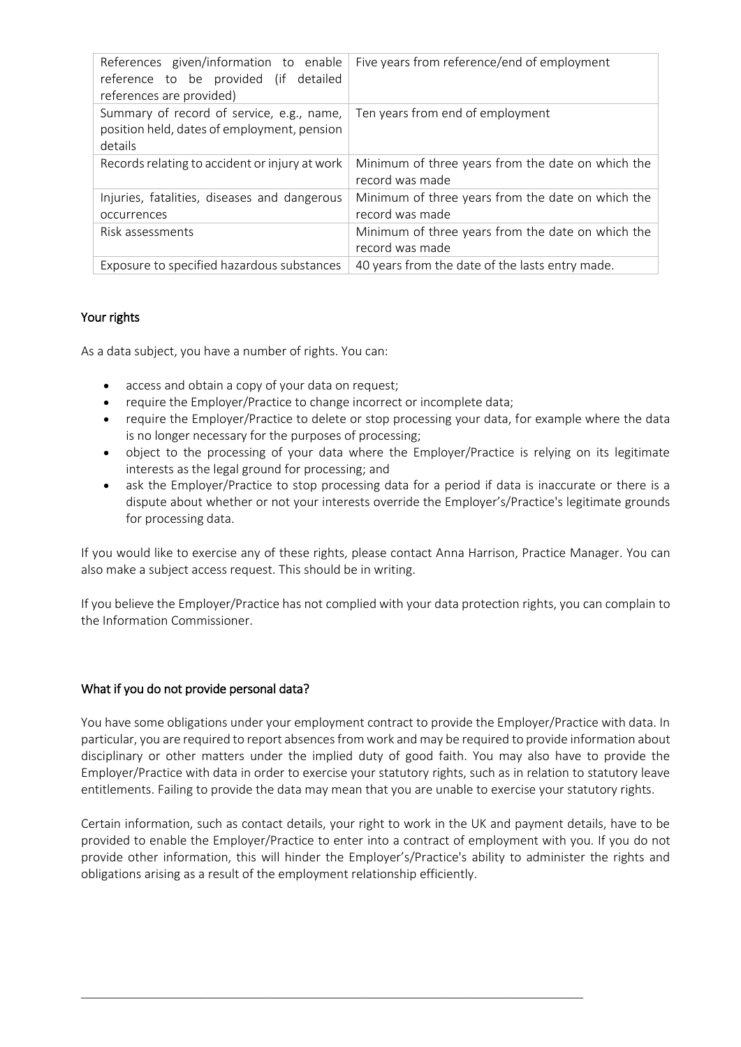| References given/information to enable<br>reference to be provided (if detailed<br>references are provided) | Five years from reference/end of employment                          |
|-------------------------------------------------------------------------------------------------------------|----------------------------------------------------------------------|
| Summary of record of service, e.g., name,<br>position held, dates of employment, pension<br>details         | Ten years from end of employment                                     |
| Records relating to accident or injury at work                                                              | Minimum of three years from the date on which the<br>record was made |
| Injuries, fatalities, diseases and dangerous                                                                | Minimum of three years from the date on which the                    |
| occurrences                                                                                                 | record was made                                                      |
| Risk assessments                                                                                            | Minimum of three years from the date on which the                    |
|                                                                                                             | record was made                                                      |
| Exposure to specified hazardous substances                                                                  | 40 years from the date of the lasts entry made.                      |
|                                                                                                             |                                                                      |

# Your rights

As a data subject, you have a number of rights. You can:

- access and obtain a copy of your data on request;
- require the Employer/Practice to change incorrect or incomplete data;
- require the Employer/Practice to delete or stop processing your data, for example where the data is no longer necessary for the purposes of processing;
- object to the processing of your data where the Employer/Practice is relying on its legitimate interests as the legal ground for processing; and
- ask the Employer/Practice to stop processing data for a period if data is inaccurate or there is a dispute about whether or not your interests override the Employer's/Practice's legitimate grounds for processing data.

If you would like to exercise any of these rights, please contact Anna Harrison, Practice Manager. You can also make a subject access request. This should be in writing.

If you believe the Employer/Practice has not complied with your data protection rights, you can complain to the Information Commissioner.

# What if you do not provide personal data?

You have some obligations under your employment contract to provide the Employer/Practice with data. In particular, you are required to report absences from work and may be required to provide information about disciplinary or other matters under the implied duty of good faith. You may also have to provide the Employer/Practice with data in order to exercise your statutory rights, such as in relation to statutory leave entitlements. Failing to provide the data may mean that you are unable to exercise your statutory rights.

Certain information, such as contact details, your right to work in the UK and payment details, have to be provided to enable the Employer/Practice to enter into a contract of employment with you. If you do not provide other information, this will hinder the Employer's/Practice's ability to administer the rights and obligations arising as a result of the employment relationship efficiently.

\_\_\_\_\_\_\_\_\_\_\_\_\_\_\_\_\_\_\_\_\_\_\_\_\_\_\_\_\_\_\_\_\_\_\_\_\_\_\_\_\_\_\_\_\_\_\_\_\_\_\_\_\_\_\_\_\_\_\_\_\_\_\_\_\_\_\_\_\_\_\_\_\_\_\_